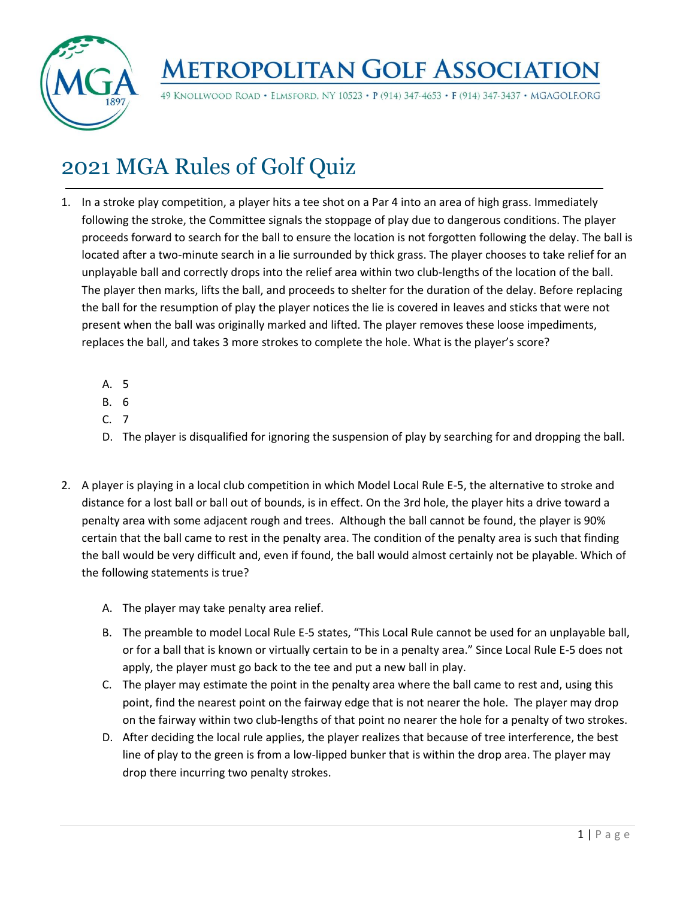

49 KNOLLWOOD ROAD · ELMSFORD, NY 10523 · P (914) 347-4653 · F (914) 347-3437 · MGAGOLF.ORG

## 2021 MGA Rules of Golf Quiz

- 1. In a stroke play competition, a player hits a tee shot on a Par 4 into an area of high grass. Immediately following the stroke, the Committee signals the stoppage of play due to dangerous conditions. The player proceeds forward to search for the ball to ensure the location is not forgotten following the delay. The ball is located after a two-minute search in a lie surrounded by thick grass. The player chooses to take relief for an unplayable ball and correctly drops into the relief area within two club-lengths of the location of the ball. The player then marks, lifts the ball, and proceeds to shelter for the duration of the delay. Before replacing the ball for the resumption of play the player notices the lie is covered in leaves and sticks that were not present when the ball was originally marked and lifted. The player removes these loose impediments, replaces the ball, and takes 3 more strokes to complete the hole. What is the player's score?
	- A. 5
	- B. 6
	- C. 7
	- D. The player is disqualified for ignoring the suspension of play by searching for and dropping the ball.
- 2. A player is playing in a local club competition in which Model Local Rule E-5, the alternative to stroke and distance for a lost ball or ball out of bounds, is in effect. On the 3rd hole, the player hits a drive toward a penalty area with some adjacent rough and trees. Although the ball cannot be found, the player is 90% certain that the ball came to rest in the penalty area. The condition of the penalty area is such that finding the ball would be very difficult and, even if found, the ball would almost certainly not be playable. Which of the following statements is true?
	- A. The player may take penalty area relief.
	- B. The preamble to model Local Rule E-5 states, "This Local Rule cannot be used for an unplayable ball, or for a ball that is known or virtually certain to be in a penalty area." Since Local Rule E-5 does not apply, the player must go back to the tee and put a new ball in play.
	- C. The player may estimate the point in the penalty area where the ball came to rest and, using this point, find the nearest point on the fairway edge that is not nearer the hole. The player may drop on the fairway within two club-lengths of that point no nearer the hole for a penalty of two strokes.
	- D. After deciding the local rule applies, the player realizes that because of tree interference, the best line of play to the green is from a low-lipped bunker that is within the drop area. The player may drop there incurring two penalty strokes.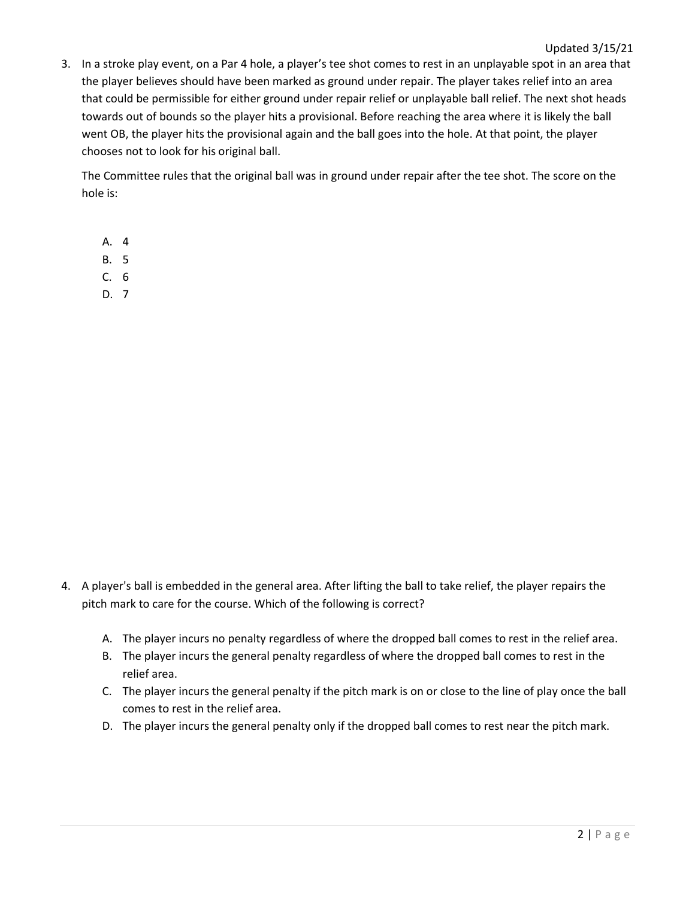3. In a stroke play event, on a Par 4 hole, a player's tee shot comes to rest in an unplayable spot in an area that the player believes should have been marked as ground under repair. The player takes relief into an area that could be permissible for either ground under repair relief or unplayable ball relief. The next shot heads towards out of bounds so the player hits a provisional. Before reaching the area where it is likely the ball went OB, the player hits the provisional again and the ball goes into the hole. At that point, the player chooses not to look for his original ball.

The Committee rules that the original ball was in ground under repair after the tee shot. The score on the hole is:

A. 4

- B. 5
- C. 6
- D. 7

- 4. A player's ball is embedded in the general area. After lifting the ball to take relief, the player repairs the pitch mark to care for the course. Which of the following is correct?
	- A. The player incurs no penalty regardless of where the dropped ball comes to rest in the relief area.
	- B. The player incurs the general penalty regardless of where the dropped ball comes to rest in the relief area.
	- C. The player incurs the general penalty if the pitch mark is on or close to the line of play once the ball comes to rest in the relief area.
	- D. The player incurs the general penalty only if the dropped ball comes to rest near the pitch mark.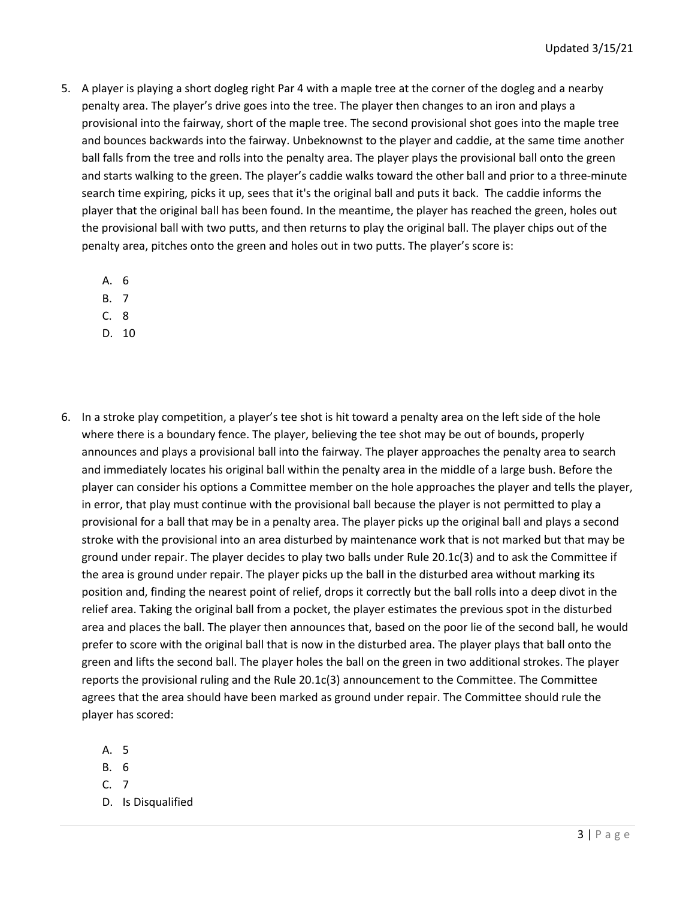- 5. A player is playing a short dogleg right Par 4 with a maple tree at the corner of the dogleg and a nearby penalty area. The player's drive goes into the tree. The player then changes to an iron and plays a provisional into the fairway, short of the maple tree. The second provisional shot goes into the maple tree and bounces backwards into the fairway. Unbeknownst to the player and caddie, at the same time another ball falls from the tree and rolls into the penalty area. The player plays the provisional ball onto the green and starts walking to the green. The player's caddie walks toward the other ball and prior to a three-minute search time expiring, picks it up, sees that it's the original ball and puts it back. The caddie informs the player that the original ball has been found. In the meantime, the player has reached the green, holes out the provisional ball with two putts, and then returns to play the original ball. The player chips out of the penalty area, pitches onto the green and holes out in two putts. The player's score is:
	- A. 6
	- B. 7
	- C. 8
	- D. 10
- 6. In a stroke play competition, a player's tee shot is hit toward a penalty area on the left side of the hole where there is a boundary fence. The player, believing the tee shot may be out of bounds, properly announces and plays a provisional ball into the fairway. The player approaches the penalty area to search and immediately locates his original ball within the penalty area in the middle of a large bush. Before the player can consider his options a Committee member on the hole approaches the player and tells the player, in error, that play must continue with the provisional ball because the player is not permitted to play a provisional for a ball that may be in a penalty area. The player picks up the original ball and plays a second stroke with the provisional into an area disturbed by maintenance work that is not marked but that may be ground under repair. The player decides to play two balls under Rule 20.1c(3) and to ask the Committee if the area is ground under repair. The player picks up the ball in the disturbed area without marking its position and, finding the nearest point of relief, drops it correctly but the ball rolls into a deep divot in the relief area. Taking the original ball from a pocket, the player estimates the previous spot in the disturbed area and places the ball. The player then announces that, based on the poor lie of the second ball, he would prefer to score with the original ball that is now in the disturbed area. The player plays that ball onto the green and lifts the second ball. The player holes the ball on the green in two additional strokes. The player reports the provisional ruling and the Rule 20.1c(3) announcement to the Committee. The Committee agrees that the area should have been marked as ground under repair. The Committee should rule the player has scored:
	- A. 5
	- B. 6
	- C. 7
	- D. Is Disqualified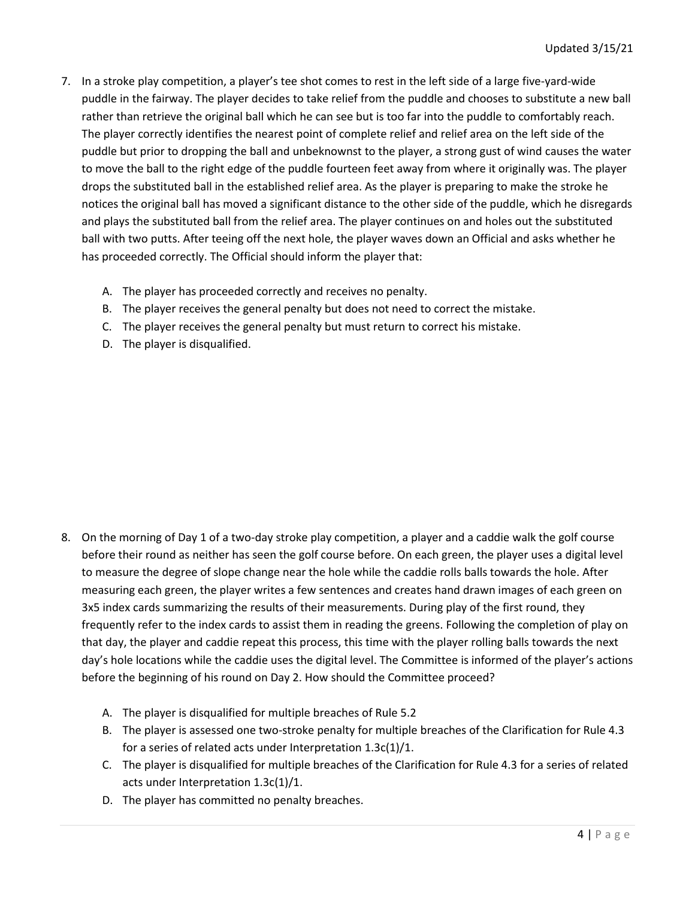- 7. In a stroke play competition, a player's tee shot comes to rest in the left side of a large five-yard-wide puddle in the fairway. The player decides to take relief from the puddle and chooses to substitute a new ball rather than retrieve the original ball which he can see but is too far into the puddle to comfortably reach. The player correctly identifies the nearest point of complete relief and relief area on the left side of the puddle but prior to dropping the ball and unbeknownst to the player, a strong gust of wind causes the water to move the ball to the right edge of the puddle fourteen feet away from where it originally was. The player drops the substituted ball in the established relief area. As the player is preparing to make the stroke he notices the original ball has moved a significant distance to the other side of the puddle, which he disregards and plays the substituted ball from the relief area. The player continues on and holes out the substituted ball with two putts. After teeing off the next hole, the player waves down an Official and asks whether he has proceeded correctly. The Official should inform the player that:
	- A. The player has proceeded correctly and receives no penalty.
	- B. The player receives the general penalty but does not need to correct the mistake.
	- C. The player receives the general penalty but must return to correct his mistake.
	- D. The player is disqualified.

- 8. On the morning of Day 1 of a two-day stroke play competition, a player and a caddie walk the golf course before their round as neither has seen the golf course before. On each green, the player uses a digital level to measure the degree of slope change near the hole while the caddie rolls balls towards the hole. After measuring each green, the player writes a few sentences and creates hand drawn images of each green on 3x5 index cards summarizing the results of their measurements. During play of the first round, they frequently refer to the index cards to assist them in reading the greens. Following the completion of play on that day, the player and caddie repeat this process, this time with the player rolling balls towards the next day's hole locations while the caddie uses the digital level. The Committee is informed of the player's actions before the beginning of his round on Day 2. How should the Committee proceed?
	- A. The player is disqualified for multiple breaches of Rule 5.2
	- B. The player is assessed one two-stroke penalty for multiple breaches of the Clarification for Rule 4.3 for a series of related acts under Interpretation 1.3c(1)/1.
	- C. The player is disqualified for multiple breaches of the Clarification for Rule 4.3 for a series of related acts under Interpretation 1.3c(1)/1.
	- D. The player has committed no penalty breaches.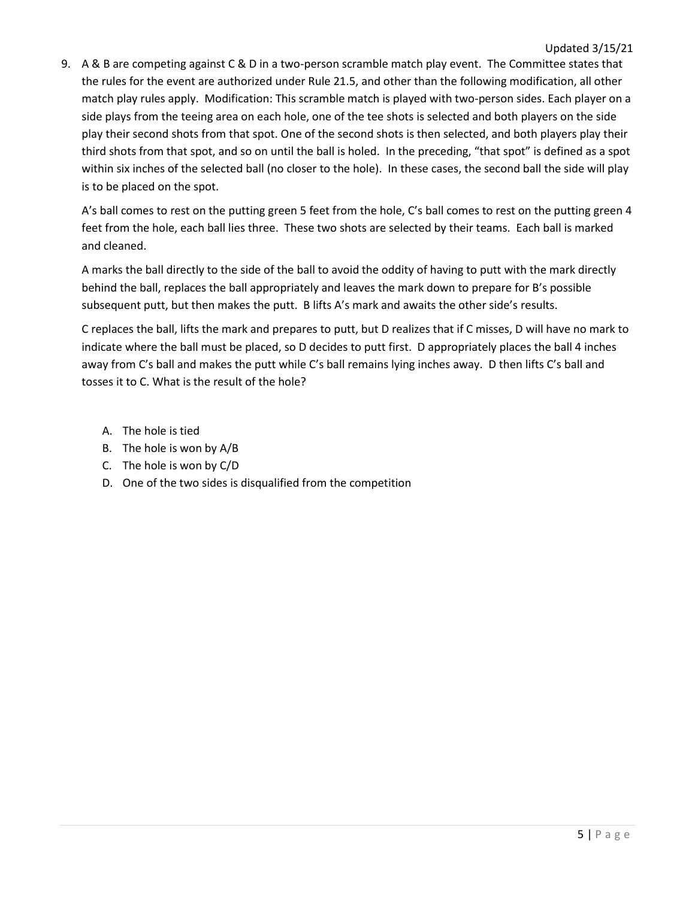9. A & B are competing against C & D in a two-person scramble match play event. The Committee states that the rules for the event are authorized under Rule 21.5, and other than the following modification, all other match play rules apply. Modification: This scramble match is played with two-person sides. Each player on a side plays from the teeing area on each hole, one of the tee shots is selected and both players on the side play their second shots from that spot. One of the second shots is then selected, and both players play their third shots from that spot, and so on until the ball is holed. In the preceding, "that spot" is defined as a spot within six inches of the selected ball (no closer to the hole). In these cases, the second ball the side will play is to be placed on the spot.

A's ball comes to rest on the putting green 5 feet from the hole, C's ball comes to rest on the putting green 4 feet from the hole, each ball lies three. These two shots are selected by their teams. Each ball is marked and cleaned.

A marks the ball directly to the side of the ball to avoid the oddity of having to putt with the mark directly behind the ball, replaces the ball appropriately and leaves the mark down to prepare for B's possible subsequent putt, but then makes the putt. B lifts A's mark and awaits the other side's results.

C replaces the ball, lifts the mark and prepares to putt, but D realizes that if C misses, D will have no mark to indicate where the ball must be placed, so D decides to putt first. D appropriately places the ball 4 inches away from C's ball and makes the putt while C's ball remains lying inches away. D then lifts C's ball and tosses it to C. What is the result of the hole?

- A. The hole is tied
- B. The hole is won by A/B
- C. The hole is won by C/D
- D. One of the two sides is disqualified from the competition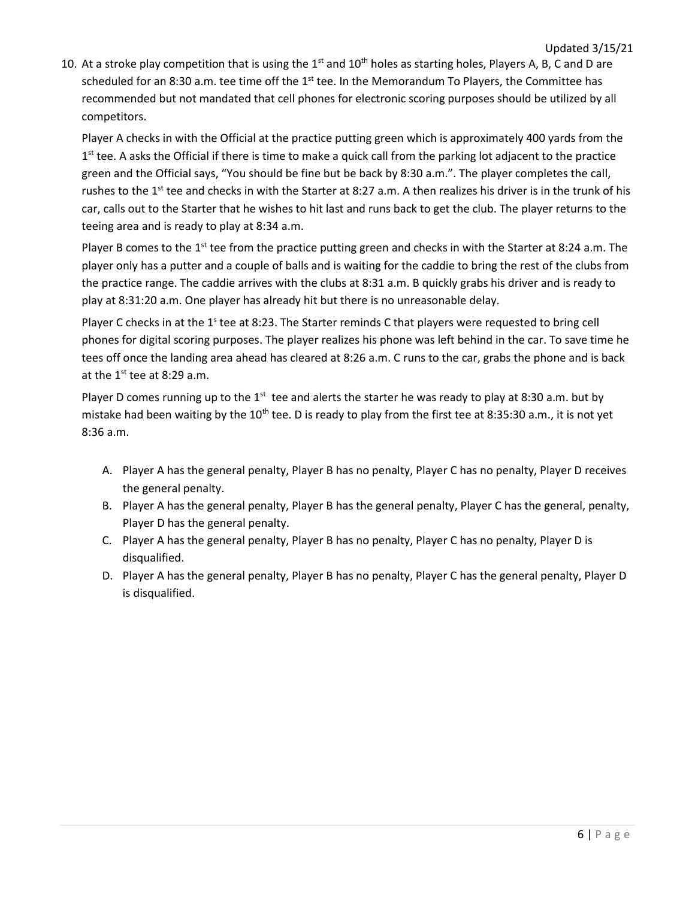10. At a stroke play competition that is using the 1<sup>st</sup> and 10<sup>th</sup> holes as starting holes, Players A, B, C and D are scheduled for an 8:30 a.m. tee time off the 1<sup>st</sup> tee. In the Memorandum To Players, the Committee has recommended but not mandated that cell phones for electronic scoring purposes should be utilized by all competitors.

Player A checks in with the Official at the practice putting green which is approximately 400 yards from the 1<sup>st</sup> tee. A asks the Official if there is time to make a quick call from the parking lot adjacent to the practice green and the Official says, "You should be fine but be back by 8:30 a.m.". The player completes the call, rushes to the 1<sup>st</sup> tee and checks in with the Starter at 8:27 a.m. A then realizes his driver is in the trunk of his car, calls out to the Starter that he wishes to hit last and runs back to get the club. The player returns to the teeing area and is ready to play at 8:34 a.m.

Player B comes to the 1<sup>st</sup> tee from the practice putting green and checks in with the Starter at 8:24 a.m. The player only has a putter and a couple of balls and is waiting for the caddie to bring the rest of the clubs from the practice range. The caddie arrives with the clubs at 8:31 a.m. B quickly grabs his driver and is ready to play at 8:31:20 a.m. One player has already hit but there is no unreasonable delay.

Player C checks in at the 1<sup>s</sup> tee at 8:23. The Starter reminds C that players were requested to bring cell phones for digital scoring purposes. The player realizes his phone was left behind in the car. To save time he tees off once the landing area ahead has cleared at 8:26 a.m. C runs to the car, grabs the phone and is back at the  $1<sup>st</sup>$  tee at 8:29 a.m.

Player D comes running up to the  $1<sup>st</sup>$  tee and alerts the starter he was ready to play at 8:30 a.m. but by mistake had been waiting by the  $10^{th}$  tee. D is ready to play from the first tee at 8:35:30 a.m., it is not yet 8:36 a.m.

- A. Player A has the general penalty, Player B has no penalty, Player C has no penalty, Player D receives the general penalty.
- B. Player A has the general penalty, Player B has the general penalty, Player C has the general, penalty, Player D has the general penalty.
- C. Player A has the general penalty, Player B has no penalty, Player C has no penalty, Player D is disqualified.
- D. Player A has the general penalty, Player B has no penalty, Player C has the general penalty, Player D is disqualified.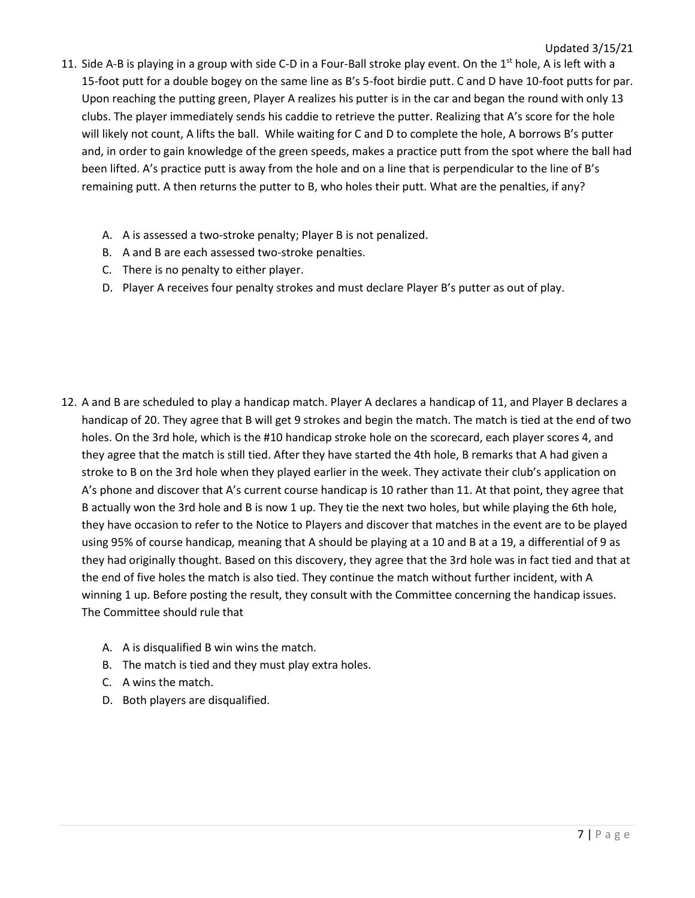- 11. Side A-B is playing in a group with side C-D in a Four-Ball stroke play event. On the 1<sup>st</sup> hole, A is left with a 15-foot putt for a double bogey on the same line as B's 5-foot birdie putt. C and D have 10-foot putts for par. Upon reaching the putting green, Player A realizes his putter is in the car and began the round with only 13 clubs. The player immediately sends his caddie to retrieve the putter. Realizing that A's score for the hole will likely not count, A lifts the ball. While waiting for C and D to complete the hole, A borrows B's putter and, in order to gain knowledge of the green speeds, makes a practice putt from the spot where the ball had been lifted. A's practice putt is away from the hole and on a line that is perpendicular to the line of B's remaining putt. A then returns the putter to B, who holes their putt. What are the penalties, if any?
	- A. A is assessed a two-stroke penalty; Player B is not penalized.
	- B. A and B are each assessed two-stroke penalties.
	- C. There is no penalty to either player.
	- D. Player A receives four penalty strokes and must declare Player B's putter as out of play.

- 12. A and B are scheduled to play a handicap match. Player A declares a handicap of 11, and Player B declares a handicap of 20. They agree that B will get 9 strokes and begin the match. The match is tied at the end of two holes. On the 3rd hole, which is the #10 handicap stroke hole on the scorecard, each player scores 4, and they agree that the match is still tied. After they have started the 4th hole, B remarks that A had given a stroke to B on the 3rd hole when they played earlier in the week. They activate their club's application on A's phone and discover that A's current course handicap is 10 rather than 11. At that point, they agree that B actually won the 3rd hole and B is now 1 up. They tie the next two holes, but while playing the 6th hole, they have occasion to refer to the Notice to Players and discover that matches in the event are to be played using 95% of course handicap, meaning that A should be playing at a 10 and B at a 19, a differential of 9 as they had originally thought. Based on this discovery, they agree that the 3rd hole was in fact tied and that at the end of five holes the match is also tied. They continue the match without further incident, with A winning 1 up. Before posting the result, they consult with the Committee concerning the handicap issues. The Committee should rule that
	- A. A is disqualified B win wins the match.
	- B. The match is tied and they must play extra holes.
	- C. A wins the match.
	- D. Both players are disqualified.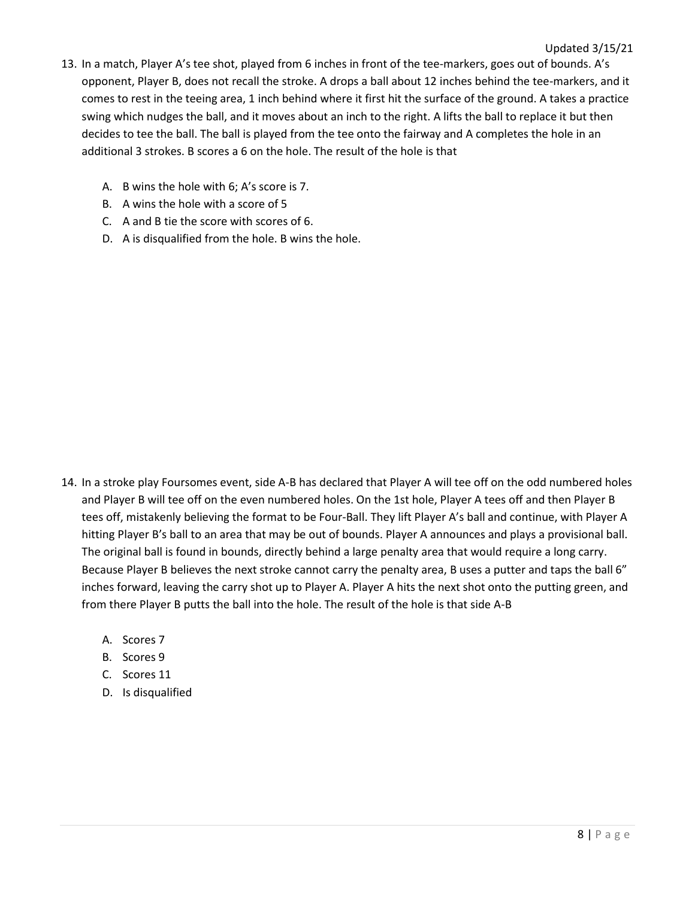- 13. In a match, Player A's tee shot, played from 6 inches in front of the tee-markers, goes out of bounds. A's opponent, Player B, does not recall the stroke. A drops a ball about 12 inches behind the tee-markers, and it comes to rest in the teeing area, 1 inch behind where it first hit the surface of the ground. A takes a practice swing which nudges the ball, and it moves about an inch to the right. A lifts the ball to replace it but then decides to tee the ball. The ball is played from the tee onto the fairway and A completes the hole in an additional 3 strokes. B scores a 6 on the hole. The result of the hole is that
	- A. B wins the hole with 6; A's score is 7.
	- B. A wins the hole with a score of 5
	- C. A and B tie the score with scores of 6.
	- D. A is disqualified from the hole. B wins the hole.

- 14. In a stroke play Foursomes event, side A-B has declared that Player A will tee off on the odd numbered holes and Player B will tee off on the even numbered holes. On the 1st hole, Player A tees off and then Player B tees off, mistakenly believing the format to be Four-Ball. They lift Player A's ball and continue, with Player A hitting Player B's ball to an area that may be out of bounds. Player A announces and plays a provisional ball. The original ball is found in bounds, directly behind a large penalty area that would require a long carry. Because Player B believes the next stroke cannot carry the penalty area, B uses a putter and taps the ball 6" inches forward, leaving the carry shot up to Player A. Player A hits the next shot onto the putting green, and from there Player B putts the ball into the hole. The result of the hole is that side A-B
	- A. Scores 7
	- B. Scores 9
	- C. Scores 11
	- D. Is disqualified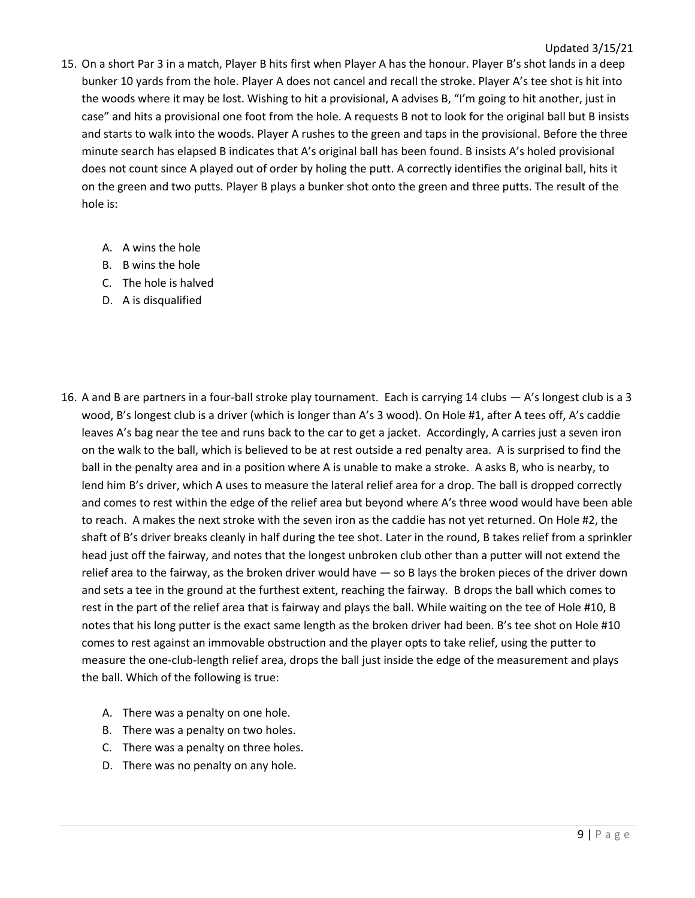- 15. On a short Par 3 in a match, Player B hits first when Player A has the honour. Player B's shot lands in a deep bunker 10 yards from the hole. Player A does not cancel and recall the stroke. Player A's tee shot is hit into the woods where it may be lost. Wishing to hit a provisional, A advises B, "I'm going to hit another, just in case" and hits a provisional one foot from the hole. A requests B not to look for the original ball but B insists and starts to walk into the woods. Player A rushes to the green and taps in the provisional. Before the three minute search has elapsed B indicates that A's original ball has been found. B insists A's holed provisional does not count since A played out of order by holing the putt. A correctly identifies the original ball, hits it on the green and two putts. Player B plays a bunker shot onto the green and three putts. The result of the hole is:
	- A. A wins the hole
	- B. B wins the hole
	- C. The hole is halved
	- D. A is disqualified
- 16. A and B are partners in a four-ball stroke play tournament. Each is carrying 14 clubs A's longest club is a 3 wood, B's longest club is a driver (which is longer than A's 3 wood). On Hole #1, after A tees off, A's caddie leaves A's bag near the tee and runs back to the car to get a jacket. Accordingly, A carries just a seven iron on the walk to the ball, which is believed to be at rest outside a red penalty area. A is surprised to find the ball in the penalty area and in a position where A is unable to make a stroke. A asks B, who is nearby, to lend him B's driver, which A uses to measure the lateral relief area for a drop. The ball is dropped correctly and comes to rest within the edge of the relief area but beyond where A's three wood would have been able to reach. A makes the next stroke with the seven iron as the caddie has not yet returned. On Hole #2, the shaft of B's driver breaks cleanly in half during the tee shot. Later in the round, B takes relief from a sprinkler head just off the fairway, and notes that the longest unbroken club other than a putter will not extend the relief area to the fairway, as the broken driver would have — so B lays the broken pieces of the driver down and sets a tee in the ground at the furthest extent, reaching the fairway. B drops the ball which comes to rest in the part of the relief area that is fairway and plays the ball. While waiting on the tee of Hole #10, B notes that his long putter is the exact same length as the broken driver had been. B's tee shot on Hole #10 comes to rest against an immovable obstruction and the player opts to take relief, using the putter to measure the one-club-length relief area, drops the ball just inside the edge of the measurement and plays the ball. Which of the following is true:
	- A. There was a penalty on one hole.
	- B. There was a penalty on two holes.
	- C. There was a penalty on three holes.
	- D. There was no penalty on any hole.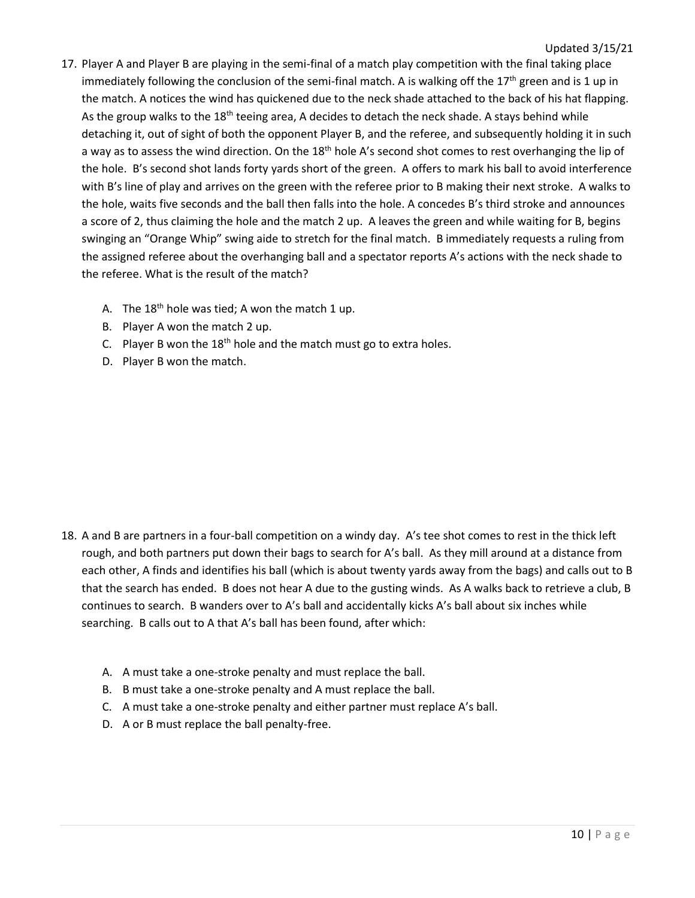- 17. Player A and Player B are playing in the semi-final of a match play competition with the final taking place immediately following the conclusion of the semi-final match. A is walking off the  $17<sup>th</sup>$  green and is 1 up in the match. A notices the wind has quickened due to the neck shade attached to the back of his hat flapping. As the group walks to the  $18<sup>th</sup>$  teeing area, A decides to detach the neck shade. A stays behind while detaching it, out of sight of both the opponent Player B, and the referee, and subsequently holding it in such a way as to assess the wind direction. On the 18<sup>th</sup> hole A's second shot comes to rest overhanging the lip of the hole. B's second shot lands forty yards short of the green. A offers to mark his ball to avoid interference with B's line of play and arrives on the green with the referee prior to B making their next stroke. A walks to the hole, waits five seconds and the ball then falls into the hole. A concedes B's third stroke and announces a score of 2, thus claiming the hole and the match 2 up. A leaves the green and while waiting for B, begins swinging an "Orange Whip" swing aide to stretch for the final match. B immediately requests a ruling from the assigned referee about the overhanging ball and a spectator reports A's actions with the neck shade to the referee. What is the result of the match?
	- A. The  $18<sup>th</sup>$  hole was tied; A won the match 1 up.
	- B. Player A won the match 2 up.
	- C. Player B won the  $18<sup>th</sup>$  hole and the match must go to extra holes.
	- D. Player B won the match.

- 18. A and B are partners in a four-ball competition on a windy day. A's tee shot comes to rest in the thick left rough, and both partners put down their bags to search for A's ball. As they mill around at a distance from each other, A finds and identifies his ball (which is about twenty yards away from the bags) and calls out to B that the search has ended. B does not hear A due to the gusting winds. As A walks back to retrieve a club, B continues to search. B wanders over to A's ball and accidentally kicks A's ball about six inches while searching. B calls out to A that A's ball has been found, after which:
	- A. A must take a one-stroke penalty and must replace the ball.
	- B. B must take a one-stroke penalty and A must replace the ball.
	- C. A must take a one-stroke penalty and either partner must replace A's ball.
	- D. A or B must replace the ball penalty-free.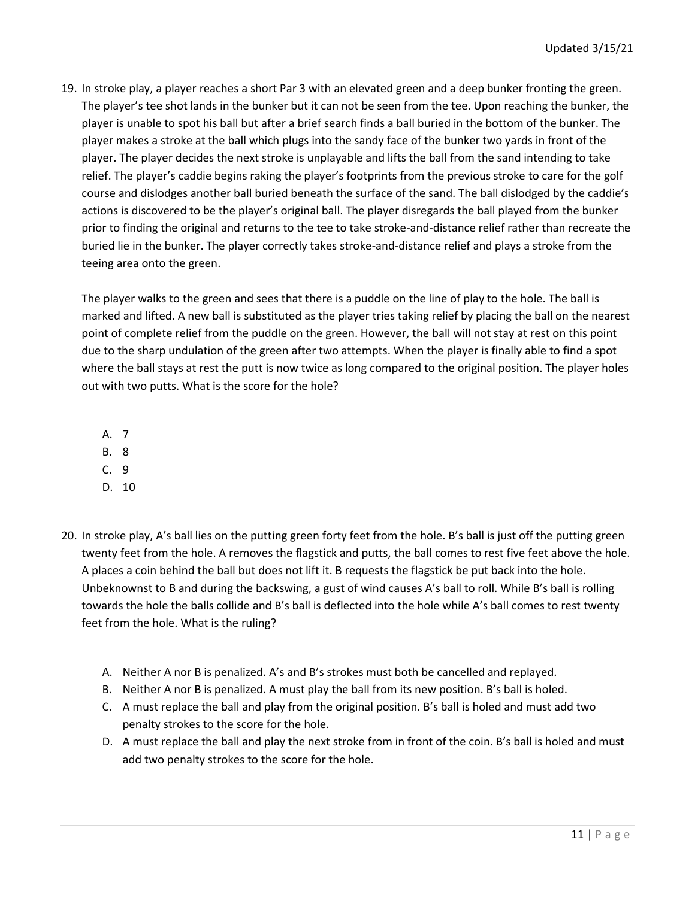19. In stroke play, a player reaches a short Par 3 with an elevated green and a deep bunker fronting the green. The player's tee shot lands in the bunker but it can not be seen from the tee. Upon reaching the bunker, the player is unable to spot his ball but after a brief search finds a ball buried in the bottom of the bunker. The player makes a stroke at the ball which plugs into the sandy face of the bunker two yards in front of the player. The player decides the next stroke is unplayable and lifts the ball from the sand intending to take relief. The player's caddie begins raking the player's footprints from the previous stroke to care for the golf course and dislodges another ball buried beneath the surface of the sand. The ball dislodged by the caddie's actions is discovered to be the player's original ball. The player disregards the ball played from the bunker prior to finding the original and returns to the tee to take stroke-and-distance relief rather than recreate the buried lie in the bunker. The player correctly takes stroke-and-distance relief and plays a stroke from the teeing area onto the green.

The player walks to the green and sees that there is a puddle on the line of play to the hole. The ball is marked and lifted. A new ball is substituted as the player tries taking relief by placing the ball on the nearest point of complete relief from the puddle on the green. However, the ball will not stay at rest on this point due to the sharp undulation of the green after two attempts. When the player is finally able to find a spot where the ball stays at rest the putt is now twice as long compared to the original position. The player holes out with two putts. What is the score for the hole?

- A. 7
- B. 8
- C. 9
- D. 10
- 20. In stroke play, A's ball lies on the putting green forty feet from the hole. B's ball is just off the putting green twenty feet from the hole. A removes the flagstick and putts, the ball comes to rest five feet above the hole. A places a coin behind the ball but does not lift it. B requests the flagstick be put back into the hole. Unbeknownst to B and during the backswing, a gust of wind causes A's ball to roll. While B's ball is rolling towards the hole the balls collide and B's ball is deflected into the hole while A's ball comes to rest twenty feet from the hole. What is the ruling?
	- A. Neither A nor B is penalized. A's and B's strokes must both be cancelled and replayed.
	- B. Neither A nor B is penalized. A must play the ball from its new position. B's ball is holed.
	- C. A must replace the ball and play from the original position. B's ball is holed and must add two penalty strokes to the score for the hole.
	- D. A must replace the ball and play the next stroke from in front of the coin. B's ball is holed and must add two penalty strokes to the score for the hole.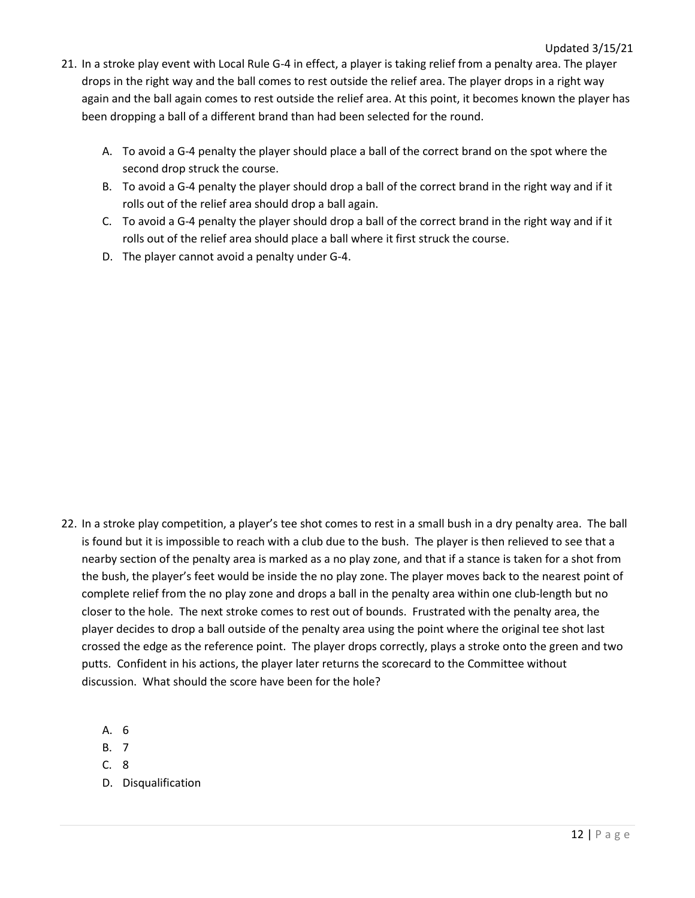- 21. In a stroke play event with Local Rule G-4 in effect, a player is taking relief from a penalty area. The player drops in the right way and the ball comes to rest outside the relief area. The player drops in a right way again and the ball again comes to rest outside the relief area. At this point, it becomes known the player has been dropping a ball of a different brand than had been selected for the round.
	- A. To avoid a G-4 penalty the player should place a ball of the correct brand on the spot where the second drop struck the course.
	- B. To avoid a G-4 penalty the player should drop a ball of the correct brand in the right way and if it rolls out of the relief area should drop a ball again.
	- C. To avoid a G-4 penalty the player should drop a ball of the correct brand in the right way and if it rolls out of the relief area should place a ball where it first struck the course.
	- D. The player cannot avoid a penalty under G-4.

- 22. In a stroke play competition, a player's tee shot comes to rest in a small bush in a dry penalty area. The ball is found but it is impossible to reach with a club due to the bush. The player is then relieved to see that a nearby section of the penalty area is marked as a no play zone, and that if a stance is taken for a shot from the bush, the player's feet would be inside the no play zone. The player moves back to the nearest point of complete relief from the no play zone and drops a ball in the penalty area within one club-length but no closer to the hole. The next stroke comes to rest out of bounds. Frustrated with the penalty area, the player decides to drop a ball outside of the penalty area using the point where the original tee shot last crossed the edge as the reference point. The player drops correctly, plays a stroke onto the green and two putts. Confident in his actions, the player later returns the scorecard to the Committee without discussion. What should the score have been for the hole?
	- A. 6
	- B. 7
	- C. 8
	- D. Disqualification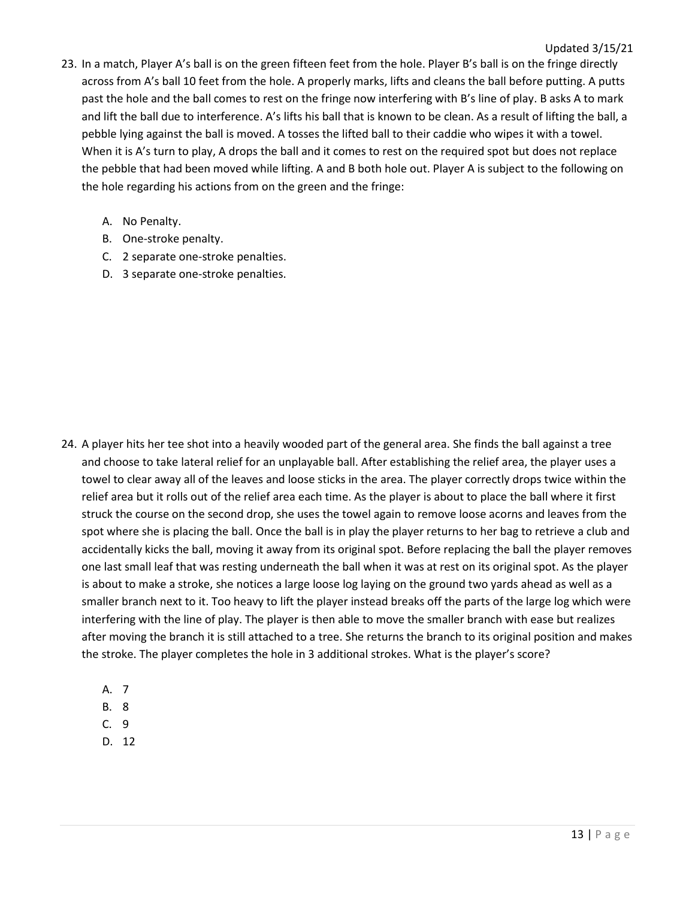- 23. In a match, Player A's ball is on the green fifteen feet from the hole. Player B's ball is on the fringe directly across from A's ball 10 feet from the hole. A properly marks, lifts and cleans the ball before putting. A putts past the hole and the ball comes to rest on the fringe now interfering with B's line of play. B asks A to mark and lift the ball due to interference. A's lifts his ball that is known to be clean. As a result of lifting the ball, a pebble lying against the ball is moved. A tosses the lifted ball to their caddie who wipes it with a towel. When it is A's turn to play, A drops the ball and it comes to rest on the required spot but does not replace the pebble that had been moved while lifting. A and B both hole out. Player A is subject to the following on the hole regarding his actions from on the green and the fringe:
	- A. No Penalty.
	- B. One-stroke penalty.
	- C. 2 separate one-stroke penalties.
	- D. 3 separate one-stroke penalties.

- 24. A player hits her tee shot into a heavily wooded part of the general area. She finds the ball against a tree and choose to take lateral relief for an unplayable ball. After establishing the relief area, the player uses a towel to clear away all of the leaves and loose sticks in the area. The player correctly drops twice within the relief area but it rolls out of the relief area each time. As the player is about to place the ball where it first struck the course on the second drop, she uses the towel again to remove loose acorns and leaves from the spot where she is placing the ball. Once the ball is in play the player returns to her bag to retrieve a club and accidentally kicks the ball, moving it away from its original spot. Before replacing the ball the player removes one last small leaf that was resting underneath the ball when it was at rest on its original spot. As the player is about to make a stroke, she notices a large loose log laying on the ground two yards ahead as well as a smaller branch next to it. Too heavy to lift the player instead breaks off the parts of the large log which were interfering with the line of play. The player is then able to move the smaller branch with ease but realizes after moving the branch it is still attached to a tree. She returns the branch to its original position and makes the stroke. The player completes the hole in 3 additional strokes. What is the player's score?
	- A. 7
	- B. 8
	- C. 9
	- D. 12